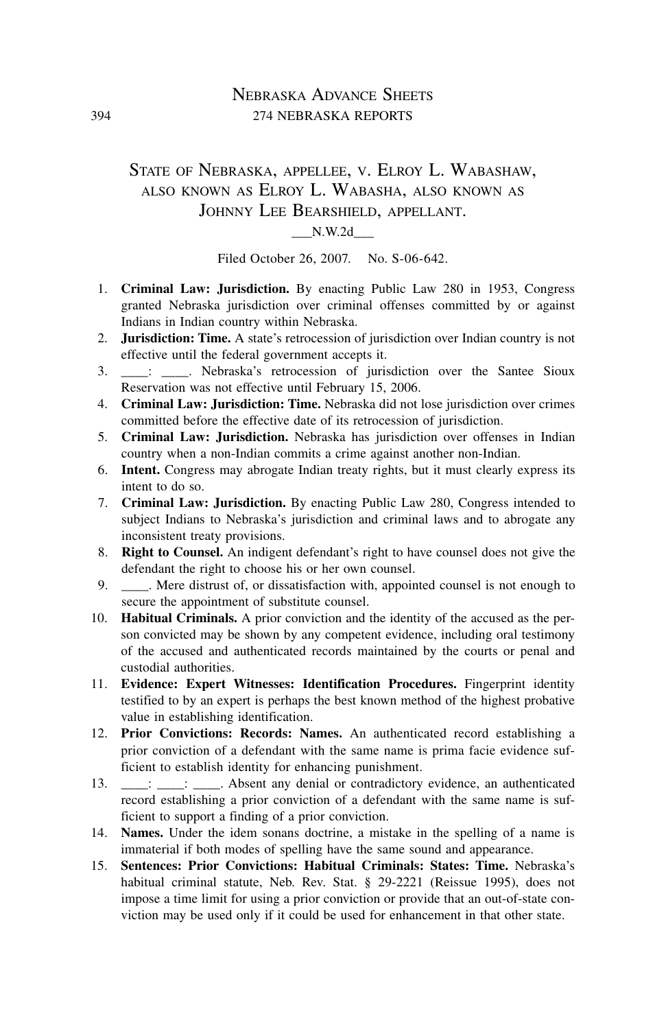## Nebraska Advance Sheets 394 274 nebraska reports

# State of Nebraska, appellee, v. Elroy L. Wabashaw, also known as Elroy L. Wabasha, also known as Johnny Lee Bearshield, appellant.

#### \_\_\_N.W.2d\_\_\_

Filed October 26, 2007. No. S-06-642.

- 1. **Criminal Law: Jurisdiction.** By enacting Public Law 280 in 1953, Congress granted Nebraska jurisdiction over criminal offenses committed by or against Indians in Indian country within Nebraska.
- 2. **Jurisdiction: Time.** A state's retrocession of jurisdiction over Indian country is not effective until the federal government accepts it.
- 3.  $\quad$ : Webraska's retrocession of jurisdiction over the Santee Sioux Reservation was not effective until February 15, 2006.
- 4. **Criminal Law: Jurisdiction: Time.** Nebraska did not lose jurisdiction over crimes committed before the effective date of its retrocession of jurisdiction.
- 5. **Criminal Law: Jurisdiction.** Nebraska has jurisdiction over offenses in Indian country when a non-Indian commits a crime against another non-Indian.
- 6. **Intent.** Congress may abrogate Indian treaty rights, but it must clearly express its intent to do so.
- 7. **Criminal Law: Jurisdiction.** By enacting Public Law 280, Congress intended to subject Indians to Nebraska's jurisdiction and criminal laws and to abrogate any inconsistent treaty provisions.
- 8. **Right to Counsel.** An indigent defendant's right to have counsel does not give the defendant the right to choose his or her own counsel.
- 9. \_\_\_\_\_. Mere distrust of, or dissatisfaction with, appointed counsel is not enough to secure the appointment of substitute counsel.
- 10. **Habitual Criminals.** A prior conviction and the identity of the accused as the person convicted may be shown by any competent evidence, including oral testimony of the accused and authenticated records maintained by the courts or penal and custodial authorities.
- 11. **Evidence: Expert Witnesses: Identification Procedures.** Fingerprint identity testified to by an expert is perhaps the best known method of the highest probative value in establishing identification.
- 12. **Prior Convictions: Records: Names.** An authenticated record establishing a prior conviction of a defendant with the same name is prima facie evidence sufficient to establish identity for enhancing punishment.
- 13. \_\_\_\_: \_\_\_\_: Absent any denial or contradictory evidence, an authenticated record establishing a prior conviction of a defendant with the same name is sufficient to support a finding of a prior conviction.
- 14. **Names.** Under the idem sonans doctrine, a mistake in the spelling of a name is immaterial if both modes of spelling have the same sound and appearance.
- 15. **Sentences: Prior Convictions: Habitual Criminals: States: Time.** Nebraska's habitual criminal statute, Neb. Rev. Stat. § 29-2221 (Reissue 1995), does not impose a time limit for using a prior conviction or provide that an out-of-state conviction may be used only if it could be used for enhancement in that other state.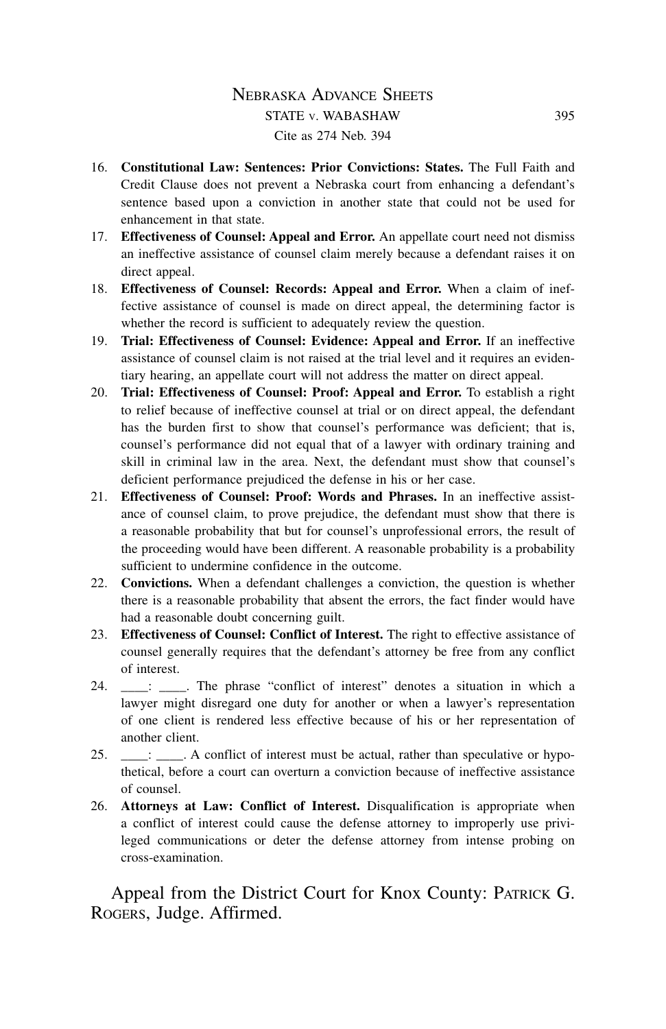# Nebraska Advance Sheets STATE v. WABASHAW 395 Cite as 274 Neb. 394

- 16. **Constitutional Law: Sentences: Prior Convictions: States.** The Full Faith and Credit Clause does not prevent a Nebraska court from enhancing a defendant's sentence based upon a conviction in another state that could not be used for enhancement in that state.
- 17. **Effectiveness of Counsel: Appeal and Error.** An appellate court need not dismiss an ineffective assistance of counsel claim merely because a defendant raises it on direct appeal.
- 18. **Effectiveness of Counsel: Records: Appeal and Error.** When a claim of ineffective assistance of counsel is made on direct appeal, the determining factor is whether the record is sufficient to adequately review the question.
- 19. **Trial: Effectiveness of Counsel: Evidence: Appeal and Error.** If an ineffective assistance of counsel claim is not raised at the trial level and it requires an evidentiary hearing, an appellate court will not address the matter on direct appeal.
- 20. **Trial: Effectiveness of Counsel: Proof: Appeal and Error.** To establish a right to relief because of ineffective counsel at trial or on direct appeal, the defendant has the burden first to show that counsel's performance was deficient; that is, counsel's performance did not equal that of a lawyer with ordinary training and skill in criminal law in the area. Next, the defendant must show that counsel's deficient performance prejudiced the defense in his or her case.
- 21. **Effectiveness of Counsel: Proof: Words and Phrases.** In an ineffective assistance of counsel claim, to prove prejudice, the defendant must show that there is a reasonable probability that but for counsel's unprofessional errors, the result of the proceeding would have been different. A reasonable probability is a probability sufficient to undermine confidence in the outcome.
- 22. **Convictions.** When a defendant challenges a conviction, the question is whether there is a reasonable probability that absent the errors, the fact finder would have had a reasonable doubt concerning guilt.
- 23. **Effectiveness of Counsel: Conflict of Interest.** The right to effective assistance of counsel generally requires that the defendant's attorney be free from any conflict of interest.
- 24. \_\_\_: \_\_\_\_. The phrase "conflict of interest" denotes a situation in which a lawyer might disregard one duty for another or when a lawyer's representation of one client is rendered less effective because of his or her representation of another client.
- 25.  $\quad$ :  $\quad$  A conflict of interest must be actual, rather than speculative or hypothetical, before a court can overturn a conviction because of ineffective assistance of counsel.
- 26. **Attorneys at Law: Conflict of Interest.** Disqualification is appropriate when a conflict of interest could cause the defense attorney to improperly use privileged communications or deter the defense attorney from intense probing on cross-examination.

Appeal from the District Court for Knox County: PATRICK G. Rogers, Judge. Affirmed.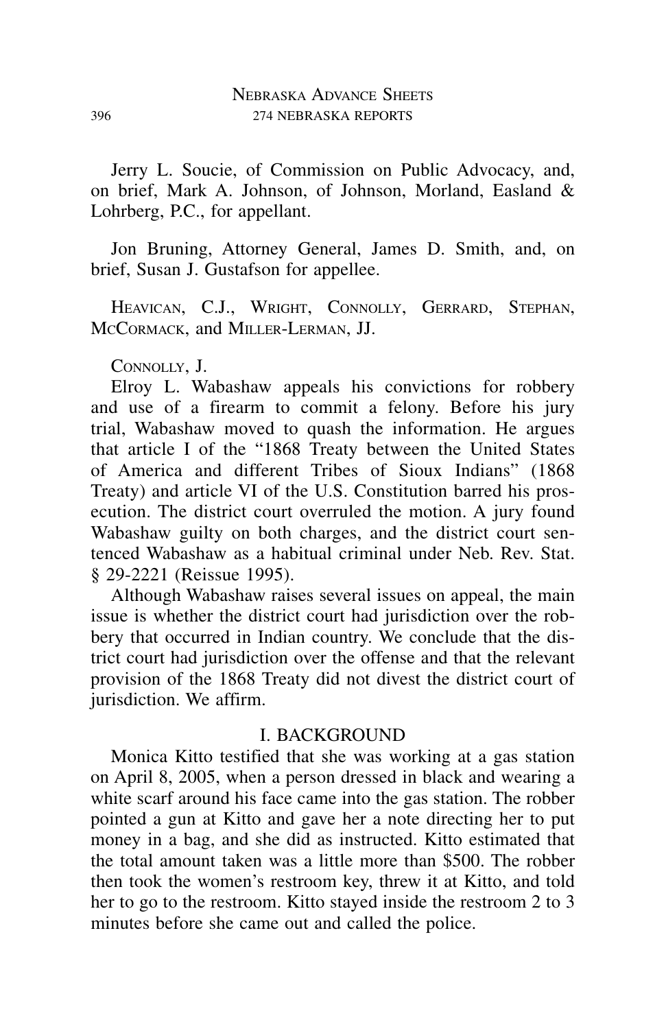Jerry L. Soucie, of Commission on Public Advocacy, and, on brief, Mark A. Johnson, of Johnson, Morland, Easland & Lohrberg, P.C., for appellant.

Jon Bruning, Attorney General, James D. Smith, and, on brief, Susan J. Gustafson for appellee.

HEAVICAN, C.J., WRIGHT, CONNOLLY, GERRARD, STEPHAN, McCormack, and Miller-Lerman, JJ.

Connolly, J.

Elroy L. Wabashaw appeals his convictions for robbery and use of a firearm to commit a felony. Before his jury trial, Wabashaw moved to quash the information. He argues that article I of the "1868 Treaty between the United States of America and different Tribes of Sioux Indians" (1868 Treaty) and article VI of the U.S. Constitution barred his prosecution. The district court overruled the motion. A jury found Wabashaw guilty on both charges, and the district court sentenced Wabashaw as a habitual criminal under Neb. Rev. Stat. § 29-2221 (Reissue 1995).

Although Wabashaw raises several issues on appeal, the main issue is whether the district court had jurisdiction over the robbery that occurred in Indian country. We conclude that the district court had jurisdiction over the offense and that the relevant provision of the 1868 Treaty did not divest the district court of jurisdiction. We affirm.

#### I. BACKGROUND

Monica Kitto testified that she was working at a gas station on April 8, 2005, when a person dressed in black and wearing a white scarf around his face came into the gas station. The robber pointed a gun at Kitto and gave her a note directing her to put money in a bag, and she did as instructed. Kitto estimated that the total amount taken was a little more than \$500. The robber then took the women's restroom key, threw it at Kitto, and told her to go to the restroom. Kitto stayed inside the restroom 2 to 3 minutes before she came out and called the police.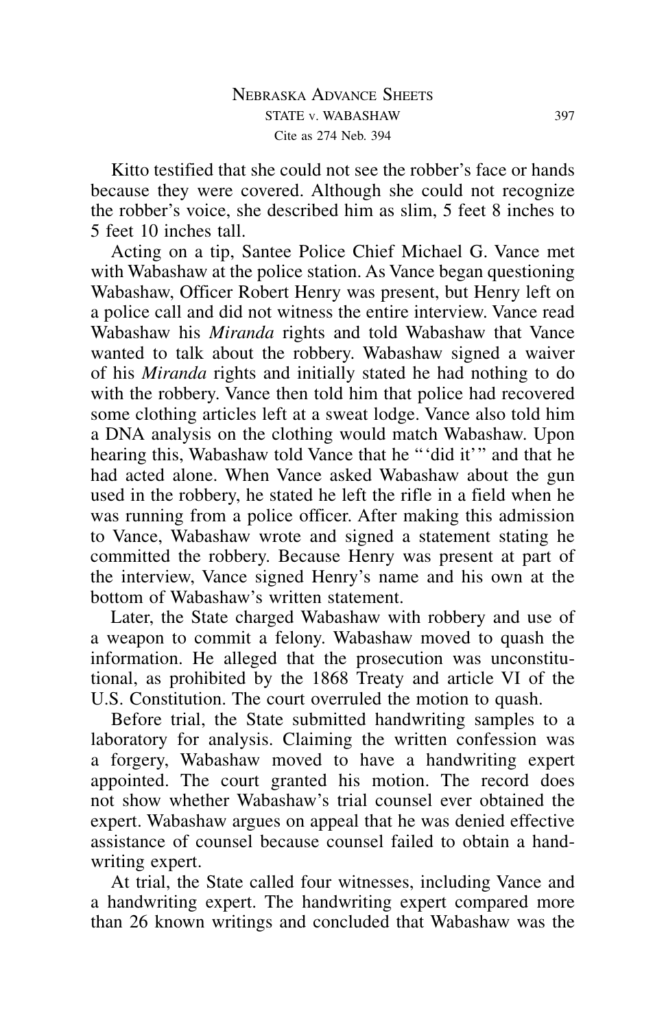Kitto testified that she could not see the robber's face or hands because they were covered. Although she could not recognize the robber's voice, she described him as slim, 5 feet 8 inches to 5 feet 10 inches tall.

Acting on a tip, Santee Police Chief Michael G. Vance met with Wabashaw at the police station. As Vance began questioning Wabashaw, Officer Robert Henry was present, but Henry left on a police call and did not witness the entire interview. Vance read Wabashaw his *Miranda* rights and told Wabashaw that Vance wanted to talk about the robbery. Wabashaw signed a waiver of his *Miranda* rights and initially stated he had nothing to do with the robbery. Vance then told him that police had recovered some clothing articles left at a sweat lodge. Vance also told him a DNA analysis on the clothing would match Wabashaw. Upon hearing this, Wabashaw told Vance that he "'did it'" and that he had acted alone. When Vance asked Wabashaw about the gun used in the robbery, he stated he left the rifle in a field when he was running from a police officer. After making this admission to Vance, Wabashaw wrote and signed a statement stating he committed the robbery. Because Henry was present at part of the interview, Vance signed Henry's name and his own at the bottom of Wabashaw's written statement.

Later, the State charged Wabashaw with robbery and use of a weapon to commit a felony. Wabashaw moved to quash the information. He alleged that the prosecution was unconstitutional, as prohibited by the 1868 Treaty and article VI of the U.S. Constitution. The court overruled the motion to quash.

Before trial, the State submitted handwriting samples to a laboratory for analysis. Claiming the written confession was a forgery, Wabashaw moved to have a handwriting expert appointed. The court granted his motion. The record does not show whether Wabashaw's trial counsel ever obtained the expert. Wabashaw argues on appeal that he was denied effective assistance of counsel because counsel failed to obtain a handwriting expert.

At trial, the State called four witnesses, including Vance and a handwriting expert. The handwriting expert compared more than 26 known writings and concluded that Wabashaw was the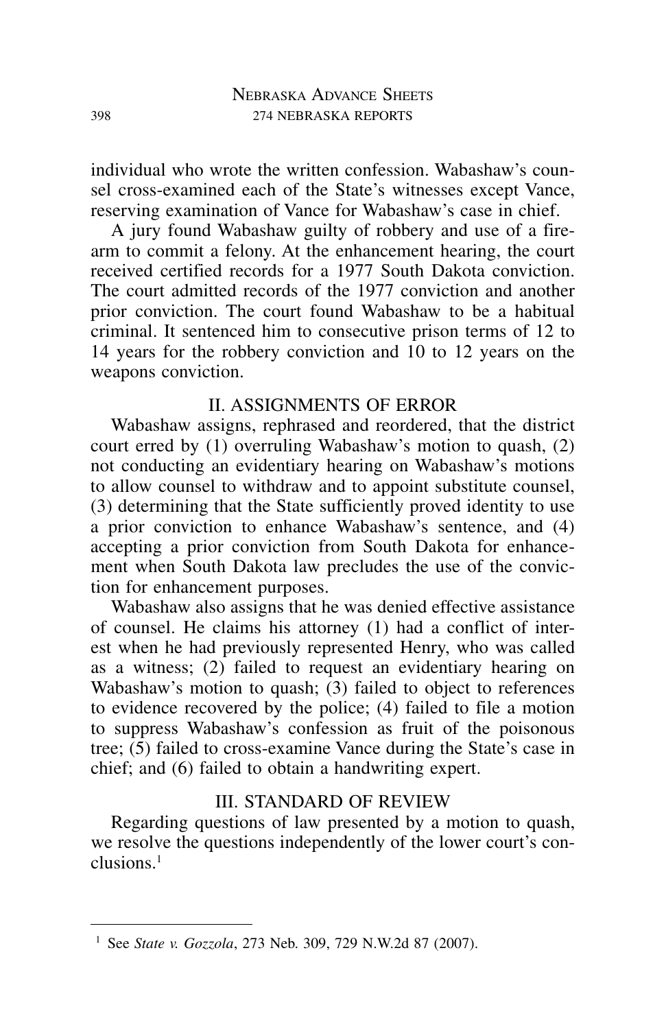individual who wrote the written confession. Wabashaw's counsel cross-examined each of the State's witnesses except Vance, reserving examination of Vance for Wabashaw's case in chief.

A jury found Wabashaw guilty of robbery and use of a firearm to commit a felony. At the enhancement hearing, the court received certified records for a 1977 South Dakota conviction. The court admitted records of the 1977 conviction and another prior conviction. The court found Wabashaw to be a habitual criminal. It sentenced him to consecutive prison terms of 12 to 14 years for the robbery conviction and 10 to 12 years on the weapons conviction.

## II. ASSIGNMENTS OF ERROR

Wabashaw assigns, rephrased and reordered, that the district court erred by (1) overruling Wabashaw's motion to quash, (2) not conducting an evidentiary hearing on Wabashaw's motions to allow counsel to withdraw and to appoint substitute counsel, (3) determining that the State sufficiently proved identity to use a prior conviction to enhance Wabashaw's sentence, and (4) accepting a prior conviction from South Dakota for enhancement when South Dakota law precludes the use of the conviction for enhancement purposes.

Wabashaw also assigns that he was denied effective assistance of counsel. He claims his attorney (1) had a conflict of interest when he had previously represented Henry, who was called as a witness; (2) failed to request an evidentiary hearing on Wabashaw's motion to quash; (3) failed to object to references to evidence recovered by the police; (4) failed to file a motion to suppress Wabashaw's confession as fruit of the poisonous tree; (5) failed to cross-examine Vance during the State's case in chief; and (6) failed to obtain a handwriting expert.

### III. STANDARD OF REVIEW

Regarding questions of law presented by a motion to quash, we resolve the questions independently of the lower court's conclusions.1

<sup>1</sup> See *State v. Gozzola*, 273 Neb. 309, 729 N.W.2d 87 (2007).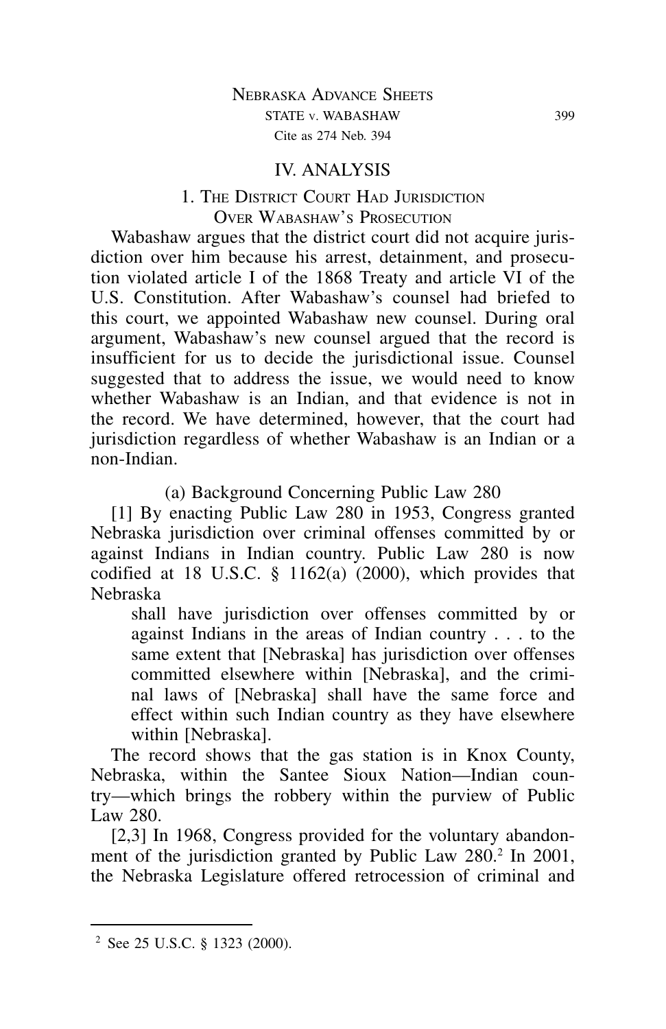### IV. ANALYSIS

# 1. The District Court Had Jurisdiction Over Wabashaw's Prosecution

Wabashaw argues that the district court did not acquire jurisdiction over him because his arrest, detainment, and prosecution violated article I of the 1868 Treaty and article VI of the U.S. Constitution. After Wabashaw's counsel had briefed to this court, we appointed Wabashaw new counsel. During oral argument, Wabashaw's new counsel argued that the record is insufficient for us to decide the jurisdictional issue. Counsel suggested that to address the issue, we would need to know whether Wabashaw is an Indian, and that evidence is not in the record. We have determined, however, that the court had jurisdiction regardless of whether Wabashaw is an Indian or a non-Indian.

(a) Background Concerning Public Law 280

[1] By enacting Public Law 280 in 1953, Congress granted Nebraska jurisdiction over criminal offenses committed by or against Indians in Indian country. Public Law 280 is now codified at 18 U.S.C. § 1162(a) (2000), which provides that Nebraska

shall have jurisdiction over offenses committed by or against Indians in the areas of Indian country . . . to the same extent that [Nebraska] has jurisdiction over offenses committed elsewhere within [Nebraska], and the criminal laws of [Nebraska] shall have the same force and effect within such Indian country as they have elsewhere within [Nebraska].

The record shows that the gas station is in Knox County, Nebraska, within the Santee Sioux Nation—Indian country—which brings the robbery within the purview of Public Law 280.

[2,3] In 1968, Congress provided for the voluntary abandonment of the jurisdiction granted by Public Law 280.<sup>2</sup> In 2001, the Nebraska Legislature offered retrocession of criminal and

<sup>2</sup> See 25 U.S.C. § 1323 (2000).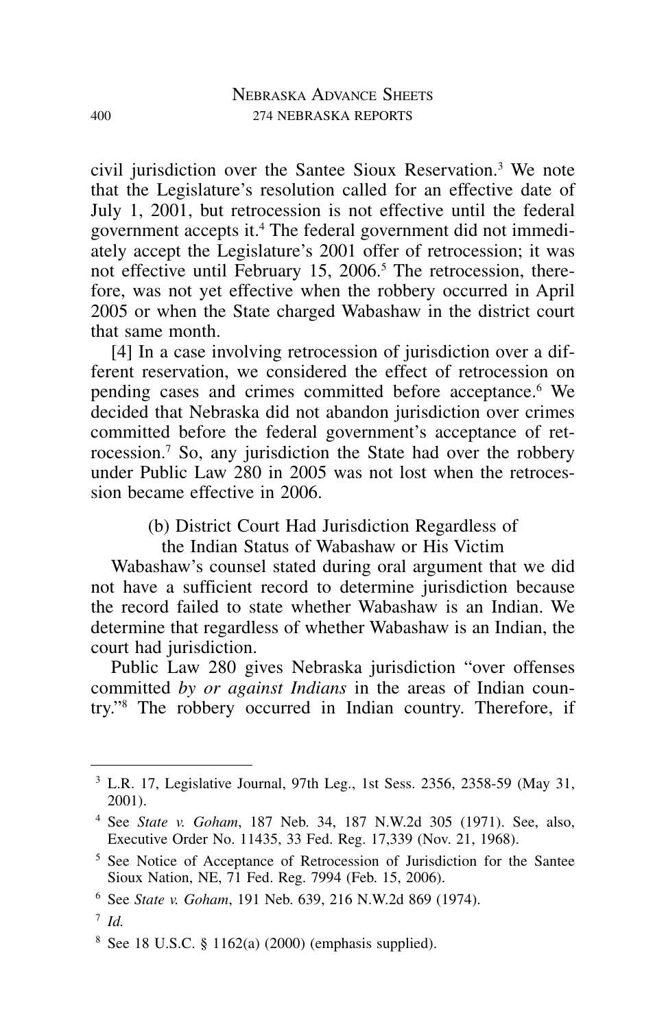civil jurisdiction over the Santee Sioux Reservation.3 We note that the Legislature's resolution called for an effective date of July 1, 2001, but retrocession is not effective until the federal government accepts it.4 The federal government did not immediately accept the Legislature's 2001 offer of retrocession; it was not effective until February 15, 2006.<sup>5</sup> The retrocession, therefore, was not yet effective when the robbery occurred in April 2005 or when the State charged Wabashaw in the district court that same month.

[4] In a case involving retrocession of jurisdiction over a different reservation, we considered the effect of retrocession on pending cases and crimes committed before acceptance.<sup>6</sup> We decided that Nebraska did not abandon jurisdiction over crimes committed before the federal government's acceptance of retrocession.7 So, any jurisdiction the State had over the robbery under Public Law 280 in 2005 was not lost when the retrocession became effective in 2006.

(b) District Court Had Jurisdiction Regardless of

the Indian Status of Wabashaw or His Victim

Wabashaw's counsel stated during oral argument that we did not have a sufficient record to determine jurisdiction because the record failed to state whether Wabashaw is an Indian. We determine that regardless of whether Wabashaw is an Indian, the court had jurisdiction.

Public Law 280 gives Nebraska jurisdiction "over offenses committed *by or against Indians* in the areas of Indian country."8 The robbery occurred in Indian country. Therefore, if

 $3$  L.R. 17, Legislative Journal, 97th Leg., 1st Sess. 2356, 2358-59 (May 31, 2001).

<sup>4</sup> See *State v. Goham*, 187 Neb. 34, 187 N.W.2d 305 (1971). See, also, Executive Order No. 11435, 33 Fed. Reg. 17,339 (Nov. 21, 1968).

<sup>5</sup> See Notice of Acceptance of Retrocession of Jurisdiction for the Santee Sioux Nation, NE, 71 Fed. Reg. 7994 (Feb. 15, 2006).

<sup>6</sup> See *State v. Goham*, 191 Neb. 639, 216 N.W.2d 869 (1974).

<sup>7</sup> *Id.*

 $8$  See 18 U.S.C. § 1162(a) (2000) (emphasis supplied).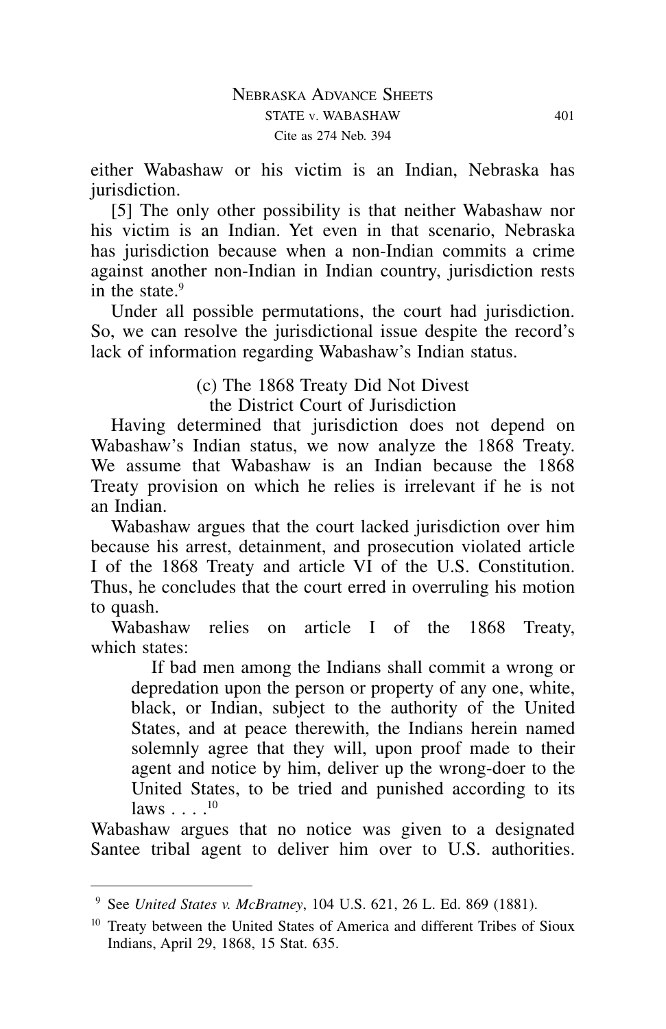either Wabashaw or his victim is an Indian, Nebraska has jurisdiction.

[5] The only other possibility is that neither Wabashaw nor his victim is an Indian. Yet even in that scenario, Nebraska has jurisdiction because when a non-Indian commits a crime against another non-Indian in Indian country, jurisdiction rests in the state  $9$ 

Under all possible permutations, the court had jurisdiction. So, we can resolve the jurisdictional issue despite the record's lack of information regarding Wabashaw's Indian status.

> (c) The 1868 Treaty Did Not Divest the District Court of Jurisdiction

Having determined that jurisdiction does not depend on Wabashaw's Indian status, we now analyze the 1868 Treaty. We assume that Wabashaw is an Indian because the 1868 Treaty provision on which he relies is irrelevant if he is not an Indian.

Wabashaw argues that the court lacked jurisdiction over him because his arrest, detainment, and prosecution violated article I of the 1868 Treaty and article VI of the U.S. Constitution. Thus, he concludes that the court erred in overruling his motion to quash.

Wabashaw relies on article I of the 1868 Treaty, which states:

If bad men among the Indians shall commit a wrong or depredation upon the person or property of any one, white, black, or Indian, subject to the authority of the United States, and at peace therewith, the Indians herein named solemnly agree that they will, upon proof made to their agent and notice by him, deliver up the wrong-doer to the United States, to be tried and punished according to its laws . . . .<sup>10</sup>

Wabashaw argues that no notice was given to a designated Santee tribal agent to deliver him over to U.S. authorities.

<sup>9</sup> See *United States v. McBratney*, 104 U.S. 621, 26 L. Ed. 869 (1881).

<sup>&</sup>lt;sup>10</sup> Treaty between the United States of America and different Tribes of Sioux Indians, April 29, 1868, 15 Stat. 635.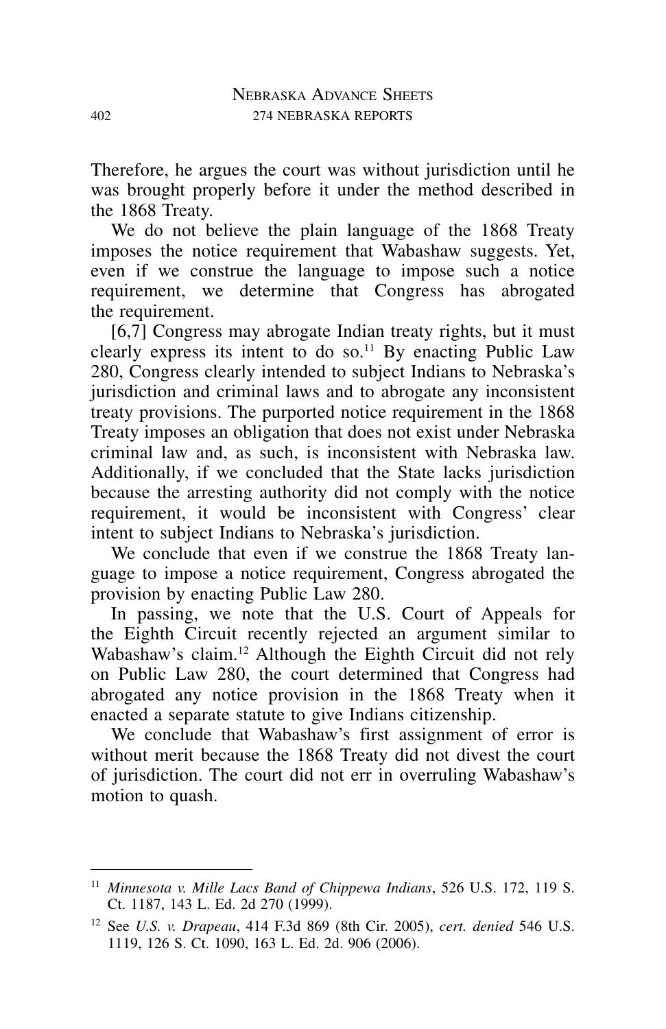Therefore, he argues the court was without jurisdiction until he was brought properly before it under the method described in the 1868 Treaty.

We do not believe the plain language of the 1868 Treaty imposes the notice requirement that Wabashaw suggests. Yet, even if we construe the language to impose such a notice requirement, we determine that Congress has abrogated the requirement.

[6,7] Congress may abrogate Indian treaty rights, but it must clearly express its intent to do so.<sup>11</sup> By enacting Public Law 280, Congress clearly intended to subject Indians to Nebraska's jurisdiction and criminal laws and to abrogate any inconsistent treaty provisions. The purported notice requirement in the 1868 Treaty imposes an obligation that does not exist under Nebraska criminal law and, as such, is inconsistent with Nebraska law. Additionally, if we concluded that the State lacks jurisdiction because the arresting authority did not comply with the notice requirement, it would be inconsistent with Congress' clear intent to subject Indians to Nebraska's jurisdiction.

We conclude that even if we construe the 1868 Treaty language to impose a notice requirement, Congress abrogated the provision by enacting Public Law 280.

In passing, we note that the U.S. Court of Appeals for the Eighth Circuit recently rejected an argument similar to Wabashaw's claim.<sup>12</sup> Although the Eighth Circuit did not rely on Public Law 280, the court determined that Congress had abrogated any notice provision in the 1868 Treaty when it enacted a separate statute to give Indians citizenship.

We conclude that Wabashaw's first assignment of error is without merit because the 1868 Treaty did not divest the court of jurisdiction. The court did not err in overruling Wabashaw's motion to quash.

<sup>11</sup> *Minnesota v. Mille Lacs Band of Chippewa Indians*, 526 U.S. 172, 119 S. Ct. 1187, 143 L. Ed. 2d 270 (1999).

<sup>12</sup> See *U.S. v. Drapeau*, 414 F.3d 869 (8th Cir. 2005), *cert. denied* 546 U.S. 1119, 126 S. Ct. 1090, 163 L. Ed. 2d. 906 (2006).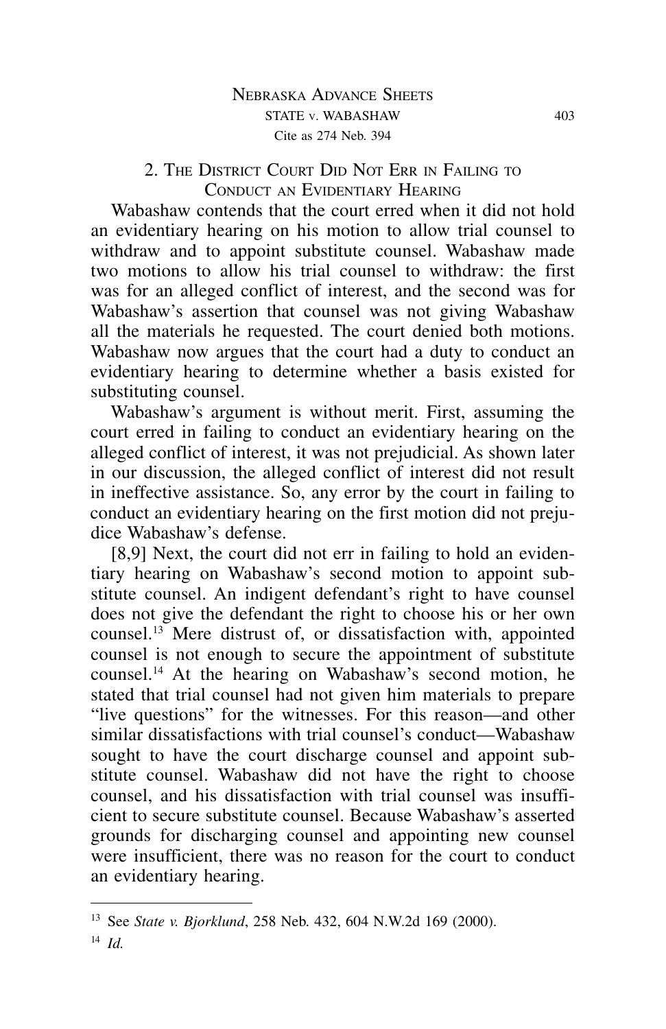## 2. THE DISTRICT COURT DID NOT ERR IN FAILING TO CONDUCT AN EVIDENTIARY HEARING

Wabashaw contends that the court erred when it did not hold an evidentiary hearing on his motion to allow trial counsel to withdraw and to appoint substitute counsel. Wabashaw made two motions to allow his trial counsel to withdraw: the first was for an alleged conflict of interest, and the second was for Wabashaw's assertion that counsel was not giving Wabashaw all the materials he requested. The court denied both motions. Wabashaw now argues that the court had a duty to conduct an evidentiary hearing to determine whether a basis existed for substituting counsel.

Wabashaw's argument is without merit. First, assuming the court erred in failing to conduct an evidentiary hearing on the alleged conflict of interest, it was not prejudicial. As shown later in our discussion, the alleged conflict of interest did not result in ineffective assistance. So, any error by the court in failing to conduct an evidentiary hearing on the first motion did not prejudice Wabashaw's defense.

[8,9] Next, the court did not err in failing to hold an evidentiary hearing on Wabashaw's second motion to appoint substitute counsel. An indigent defendant's right to have counsel does not give the defendant the right to choose his or her own counsel.13 Mere distrust of, or dissatisfaction with, appointed counsel is not enough to secure the appointment of substitute counsel.14 At the hearing on Wabashaw's second motion, he stated that trial counsel had not given him materials to prepare "live questions" for the witnesses. For this reason—and other similar dissatisfactions with trial counsel's conduct—Wabashaw sought to have the court discharge counsel and appoint substitute counsel. Wabashaw did not have the right to choose counsel, and his dissatisfaction with trial counsel was insufficient to secure substitute counsel. Because Wabashaw's asserted grounds for discharging counsel and appointing new counsel were insufficient, there was no reason for the court to conduct an evidentiary hearing.

<sup>13</sup> See *State v. Bjorklund*, 258 Neb. 432, 604 N.W.2d 169 (2000).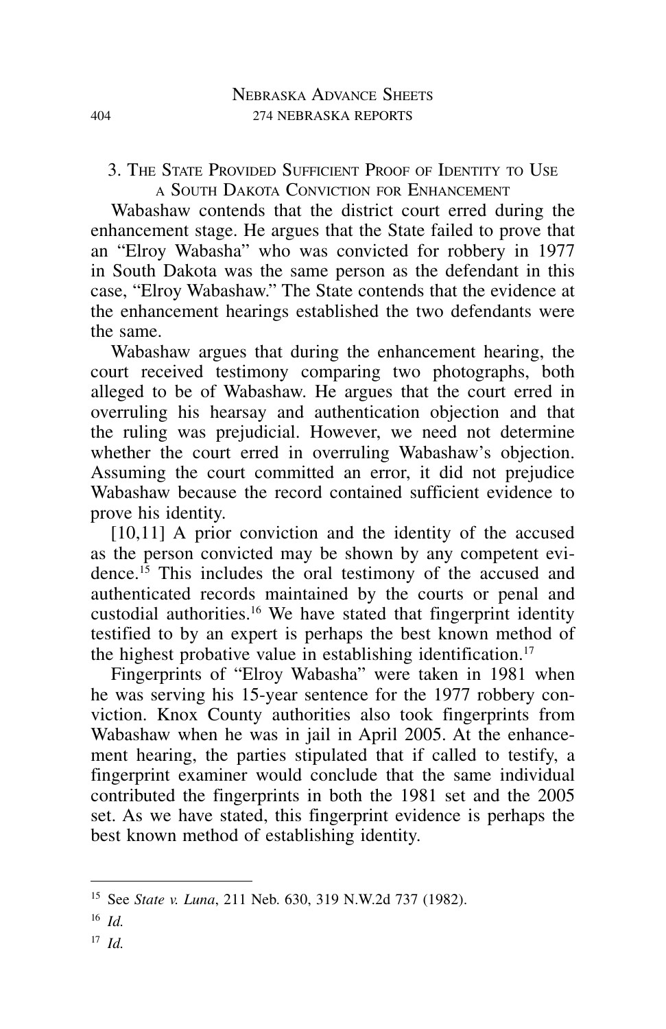3. The State Provided Sufficient Proof of Identity to Use a South Dakota Conviction for Enhancement

Wabashaw contends that the district court erred during the enhancement stage. He argues that the State failed to prove that an "Elroy Wabasha" who was convicted for robbery in 1977 in South Dakota was the same person as the defendant in this case, "Elroy Wabashaw." The State contends that the evidence at the enhancement hearings established the two defendants were the same.

Wabashaw argues that during the enhancement hearing, the court received testimony comparing two photographs, both alleged to be of Wabashaw. He argues that the court erred in overruling his hearsay and authentication objection and that the ruling was prejudicial. However, we need not determine whether the court erred in overruling Wabashaw's objection. Assuming the court committed an error, it did not prejudice Wabashaw because the record contained sufficient evidence to prove his identity.

[10,11] A prior conviction and the identity of the accused as the person convicted may be shown by any competent evidence.15 This includes the oral testimony of the accused and authenticated records maintained by the courts or penal and custodial authorities.16 We have stated that fingerprint identity testified to by an expert is perhaps the best known method of the highest probative value in establishing identification.<sup>17</sup>

Fingerprints of "Elroy Wabasha" were taken in 1981 when he was serving his 15-year sentence for the 1977 robbery conviction. Knox County authorities also took fingerprints from Wabashaw when he was in jail in April 2005. At the enhancement hearing, the parties stipulated that if called to testify, a fingerprint examiner would conclude that the same individual contributed the fingerprints in both the 1981 set and the 2005 set. As we have stated, this fingerprint evidence is perhaps the best known method of establishing identity.

<sup>17</sup> *Id.*

<sup>15</sup> See *State v. Luna*, 211 Neb. 630, 319 N.W.2d 737 (1982).

<sup>16</sup> *Id.*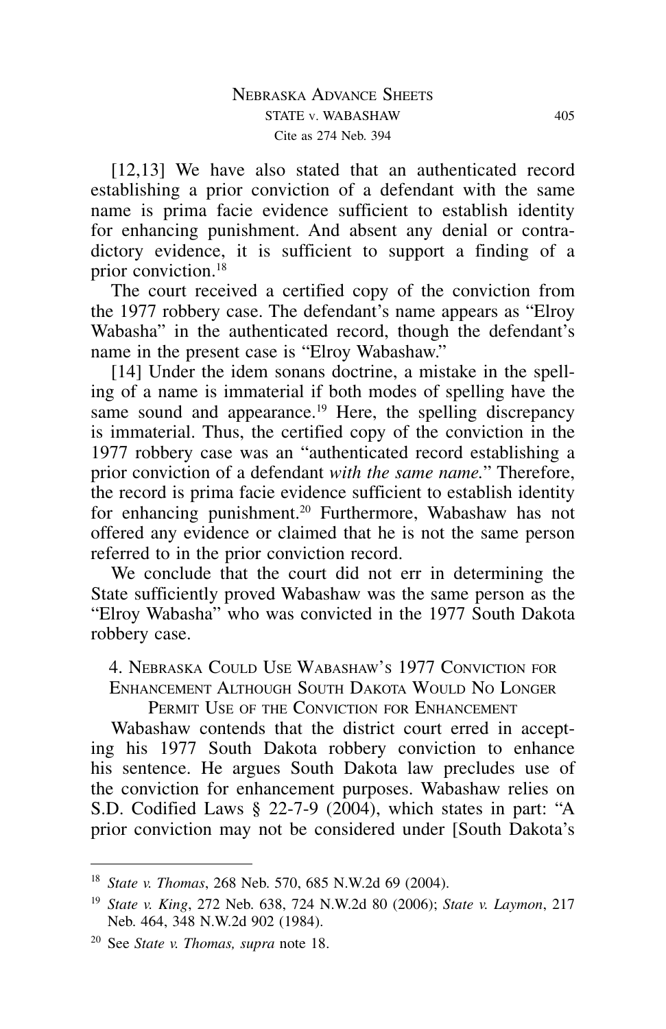[12,13] We have also stated that an authenticated record establishing a prior conviction of a defendant with the same name is prima facie evidence sufficient to establish identity for enhancing punishment. And absent any denial or contradictory evidence, it is sufficient to support a finding of a prior conviction.18

The court received a certified copy of the conviction from the 1977 robbery case. The defendant's name appears as "Elroy Wabasha" in the authenticated record, though the defendant's name in the present case is "Elroy Wabashaw."

[14] Under the idem sonans doctrine, a mistake in the spelling of a name is immaterial if both modes of spelling have the same sound and appearance.<sup>19</sup> Here, the spelling discrepancy is immaterial. Thus, the certified copy of the conviction in the 1977 robbery case was an "authenticated record establishing a prior conviction of a defendant *with the same name.*" Therefore, the record is prima facie evidence sufficient to establish identity for enhancing punishment.<sup>20</sup> Furthermore, Wabashaw has not offered any evidence or claimed that he is not the same person referred to in the prior conviction record.

We conclude that the court did not err in determining the State sufficiently proved Wabashaw was the same person as the "Elroy Wabasha" who was convicted in the 1977 South Dakota robbery case.

4. Nebraska Could Use Wabashaw's 1977 Conviction for Enhancement Although South Dakota Would No Longer

PERMIT USE OF THE CONVICTION FOR ENHANCEMENT

Wabashaw contends that the district court erred in accepting his 1977 South Dakota robbery conviction to enhance his sentence. He argues South Dakota law precludes use of the conviction for enhancement purposes. Wabashaw relies on S.D. Codified Laws § 22-7-9 (2004), which states in part: "A prior conviction may not be considered under [South Dakota's

<sup>18</sup> *State v. Thomas*, 268 Neb. 570, 685 N.W.2d 69 (2004).

<sup>19</sup> *State v. King*, 272 Neb. 638, 724 N.W.2d 80 (2006); *State v. Laymon*, 217 Neb. 464, 348 N.W.2d 902 (1984).

<sup>20</sup> See *State v. Thomas, supra* note 18.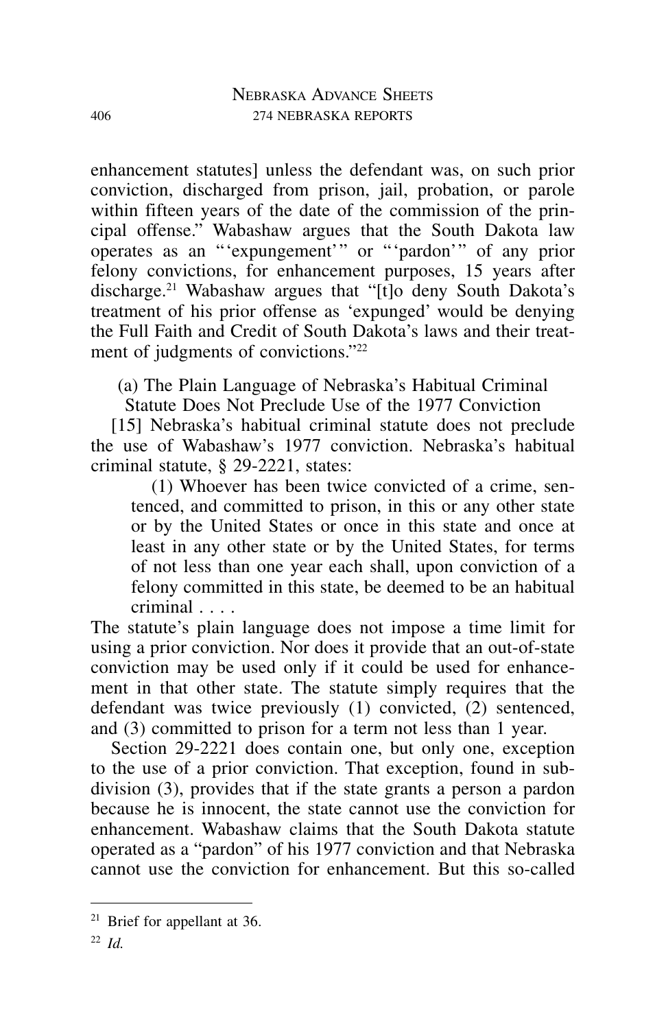enhancement statutes] unless the defendant was, on such prior conviction, discharged from prison, jail, probation, or parole within fifteen years of the date of the commission of the principal offense." Wabashaw argues that the South Dakota law operates as an "'expungement'" or "'pardon'" of any prior felony convictions, for enhancement purposes, 15 years after discharge.21 Wabashaw argues that "[t]o deny South Dakota's treatment of his prior offense as 'expunged' would be denying the Full Faith and Credit of South Dakota's laws and their treatment of judgments of convictions."<sup>22</sup>

(a) The Plain Language of Nebraska's Habitual Criminal

Statute Does Not Preclude Use of the 1977 Conviction

[15] Nebraska's habitual criminal statute does not preclude the use of Wabashaw's 1977 conviction. Nebraska's habitual criminal statute, § 29-2221, states:

(1) Whoever has been twice convicted of a crime, sentenced, and committed to prison, in this or any other state or by the United States or once in this state and once at least in any other state or by the United States, for terms of not less than one year each shall, upon conviction of a felony committed in this state, be deemed to be an habitual criminal . . . .

The statute's plain language does not impose a time limit for using a prior conviction. Nor does it provide that an out-of-state conviction may be used only if it could be used for enhancement in that other state. The statute simply requires that the defendant was twice previously (1) convicted, (2) sentenced, and (3) committed to prison for a term not less than 1 year.

Section 29-2221 does contain one, but only one, exception to the use of a prior conviction. That exception, found in subdivision (3), provides that if the state grants a person a pardon because he is innocent, the state cannot use the conviction for enhancement. Wabashaw claims that the South Dakota statute operated as a "pardon" of his 1977 conviction and that Nebraska cannot use the conviction for enhancement. But this so-called

 $21$  Brief for appellant at 36.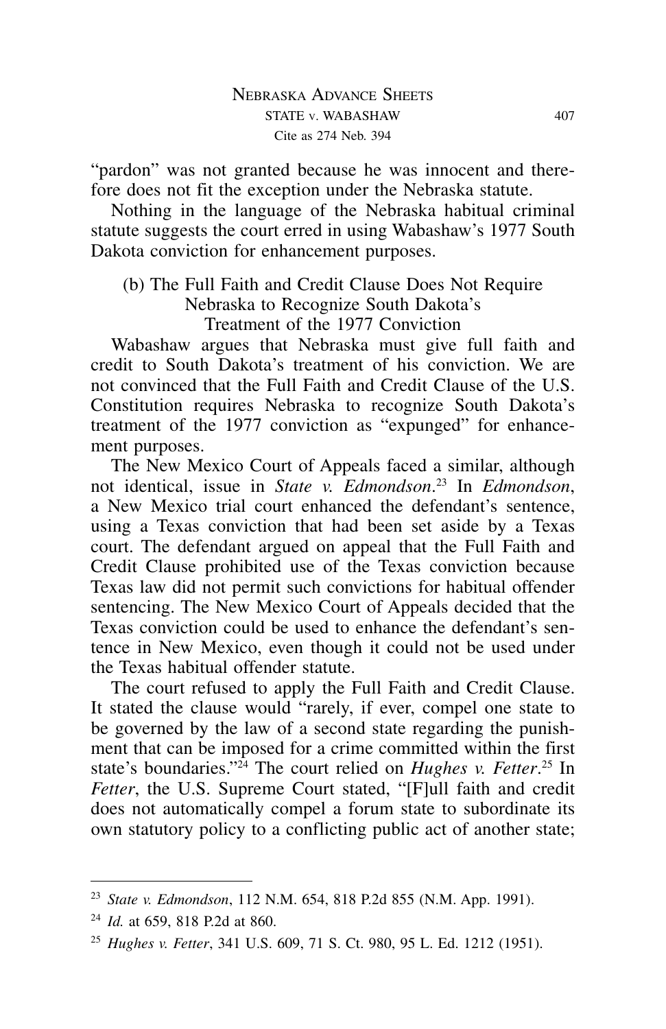"pardon" was not granted because he was innocent and therefore does not fit the exception under the Nebraska statute.

Nothing in the language of the Nebraska habitual criminal statute suggests the court erred in using Wabashaw's 1977 South Dakota conviction for enhancement purposes.

# (b) The Full Faith and Credit Clause Does Not Require Nebraska to Recognize South Dakota's Treatment of the 1977 Conviction

Wabashaw argues that Nebraska must give full faith and credit to South Dakota's treatment of his conviction. We are not convinced that the Full Faith and Credit Clause of the U.S. Constitution requires Nebraska to recognize South Dakota's treatment of the 1977 conviction as "expunged" for enhancement purposes.

The New Mexico Court of Appeals faced a similar, although not identical, issue in *State v. Edmondson*. <sup>23</sup> In *Edmondson*, a New Mexico trial court enhanced the defendant's sentence, using a Texas conviction that had been set aside by a Texas court. The defendant argued on appeal that the Full Faith and Credit Clause prohibited use of the Texas conviction because Texas law did not permit such convictions for habitual offender sentencing. The New Mexico Court of Appeals decided that the Texas conviction could be used to enhance the defendant's sentence in New Mexico, even though it could not be used under the Texas habitual offender statute.

The court refused to apply the Full Faith and Credit Clause. It stated the clause would "rarely, if ever, compel one state to be governed by the law of a second state regarding the punishment that can be imposed for a crime committed within the first state's boundaries."24 The court relied on *Hughes v. Fetter*. <sup>25</sup> In *Fetter*, the U.S. Supreme Court stated, "[F]ull faith and credit does not automatically compel a forum state to subordinate its own statutory policy to a conflicting public act of another state;

<sup>23</sup> *State v. Edmondson*, 112 N.M. 654, 818 P.2d 855 (N.M. App. 1991).

<sup>24</sup> *Id.* at 659, 818 P.2d at 860.

<sup>25</sup> *Hughes v. Fetter*, 341 U.S. 609, 71 S. Ct. 980, 95 L. Ed. 1212 (1951).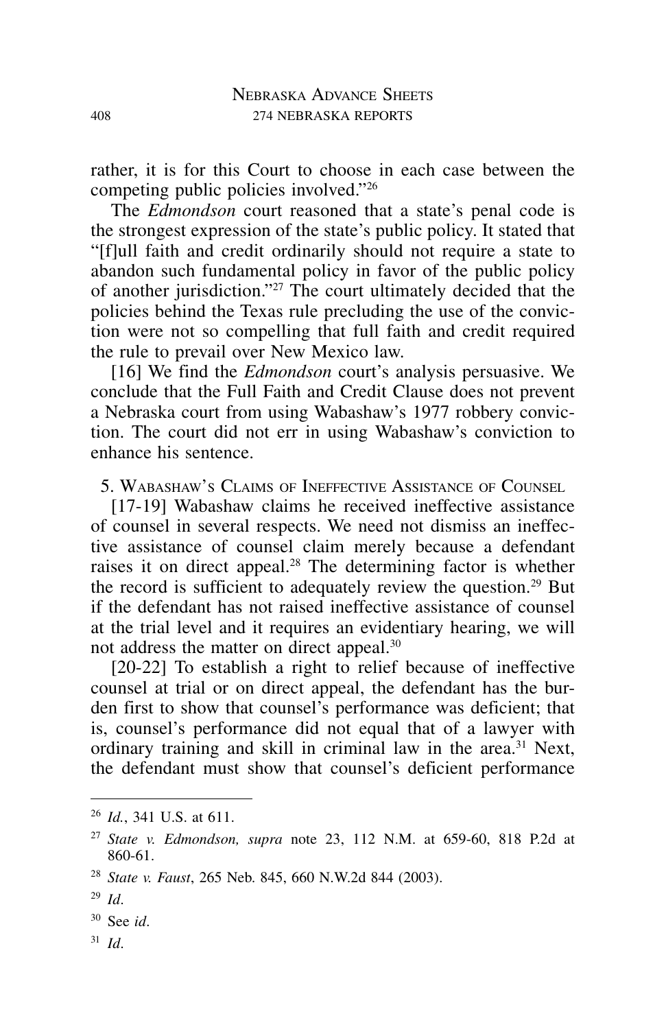rather, it is for this Court to choose in each case between the competing public policies involved."26

The *Edmondson* court reasoned that a state's penal code is the strongest expression of the state's public policy. It stated that "[f]ull faith and credit ordinarily should not require a state to abandon such fundamental policy in favor of the public policy of another jurisdiction."27 The court ultimately decided that the policies behind the Texas rule precluding the use of the conviction were not so compelling that full faith and credit required the rule to prevail over New Mexico law.

[16] We find the *Edmondson* court's analysis persuasive. We conclude that the Full Faith and Credit Clause does not prevent a Nebraska court from using Wabashaw's 1977 robbery conviction. The court did not err in using Wabashaw's conviction to enhance his sentence.

5. Wabashaw's Claims of Ineffective Assistance of Counsel

[17-19] Wabashaw claims he received ineffective assistance of counsel in several respects. We need not dismiss an ineffective assistance of counsel claim merely because a defendant raises it on direct appeal.28 The determining factor is whether the record is sufficient to adequately review the question.29 But if the defendant has not raised ineffective assistance of counsel at the trial level and it requires an evidentiary hearing, we will not address the matter on direct appeal.30

[20-22] To establish a right to relief because of ineffective counsel at trial or on direct appeal, the defendant has the burden first to show that counsel's performance was deficient; that is, counsel's performance did not equal that of a lawyer with ordinary training and skill in criminal law in the area.31 Next, the defendant must show that counsel's deficient performance

<sup>31</sup> *Id*.

<sup>26</sup> *Id.*, 341 U.S. at 611.

<sup>27</sup> *State v. Edmondson, supra* note 23, 112 N.M. at 659-60, 818 P.2d at 860-61.

<sup>28</sup> *State v. Faust*, 265 Neb. 845, 660 N.W.2d 844 (2003).

<sup>29</sup> *Id*.

<sup>30</sup> See *id*.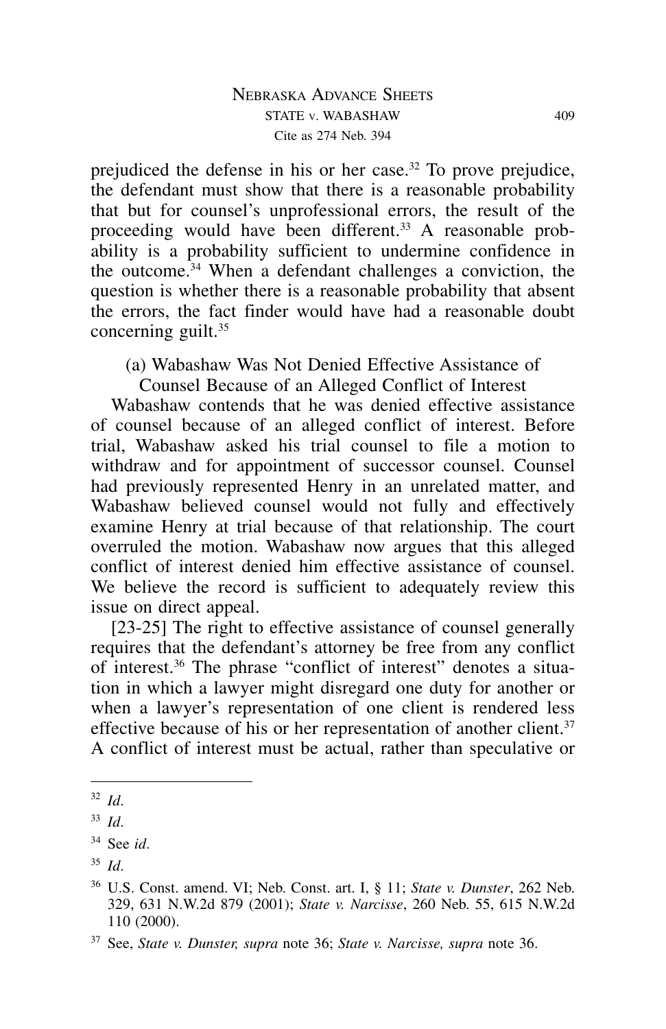prejudiced the defense in his or her case.<sup>32</sup> To prove prejudice, the defendant must show that there is a reasonable probability that but for counsel's unprofessional errors, the result of the proceeding would have been different.<sup>33</sup> A reasonable probability is a probability sufficient to undermine confidence in the outcome.34 When a defendant challenges a conviction, the question is whether there is a reasonable probability that absent the errors, the fact finder would have had a reasonable doubt concerning guilt.35

(a) Wabashaw Was Not Denied Effective Assistance of

Counsel Because of an Alleged Conflict of Interest

Wabashaw contends that he was denied effective assistance of counsel because of an alleged conflict of interest. Before trial, Wabashaw asked his trial counsel to file a motion to withdraw and for appointment of successor counsel. Counsel had previously represented Henry in an unrelated matter, and Wabashaw believed counsel would not fully and effectively examine Henry at trial because of that relationship. The court overruled the motion. Wabashaw now argues that this alleged conflict of interest denied him effective assistance of counsel. We believe the record is sufficient to adequately review this issue on direct appeal.

[23-25] The right to effective assistance of counsel generally requires that the defendant's attorney be free from any conflict of interest.36 The phrase "conflict of interest" denotes a situation in which a lawyer might disregard one duty for another or when a lawyer's representation of one client is rendered less effective because of his or her representation of another client.<sup>37</sup> A conflict of interest must be actual, rather than speculative or

<sup>32</sup> *Id*.

<sup>33</sup> *Id*.

<sup>34</sup> See *id*.

<sup>35</sup> *Id*.

<sup>36</sup> U.S. Const. amend. VI; Neb. Const. art. I, § 11; *State v. Dunster*, 262 Neb. 329, 631 N.W.2d 879 (2001); *State v. Narcisse*, 260 Neb. 55, 615 N.W.2d 110 (2000).

<sup>37</sup> See, *State v. Dunster, supra* note 36; *State v. Narcisse, supra* note 36.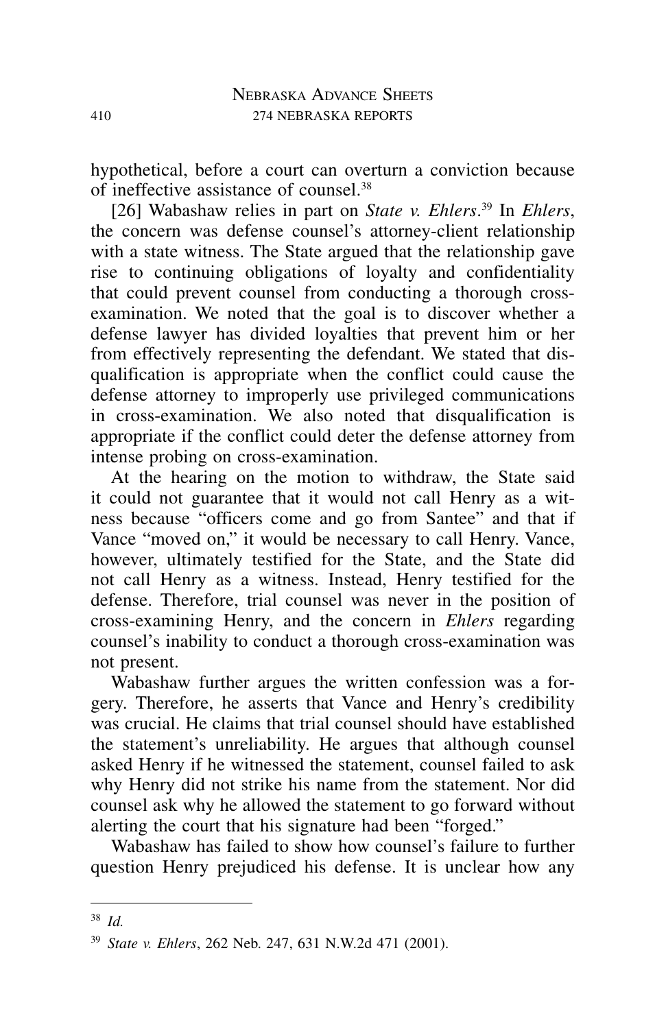hypothetical, before a court can overturn a conviction because of ineffective assistance of counsel.38

[26] Wabashaw relies in part on *State v. Ehlers*. <sup>39</sup> In *Ehlers*, the concern was defense counsel's attorney-client relationship with a state witness. The State argued that the relationship gave rise to continuing obligations of loyalty and confidentiality that could prevent counsel from conducting a thorough crossexamination. We noted that the goal is to discover whether a defense lawyer has divided loyalties that prevent him or her from effectively representing the defendant. We stated that disqualification is appropriate when the conflict could cause the defense attorney to improperly use privileged communications in cross-examination. We also noted that disqualification is appropriate if the conflict could deter the defense attorney from intense probing on cross-examination.

At the hearing on the motion to withdraw, the State said it could not guarantee that it would not call Henry as a witness because "officers come and go from Santee" and that if Vance "moved on," it would be necessary to call Henry. Vance, however, ultimately testified for the State, and the State did not call Henry as a witness. Instead, Henry testified for the defense. Therefore, trial counsel was never in the position of cross-examining Henry, and the concern in *Ehlers* regarding counsel's inability to conduct a thorough cross-examination was not present.

Wabashaw further argues the written confession was a forgery. Therefore, he asserts that Vance and Henry's credibility was crucial. He claims that trial counsel should have established the statement's unreliability. He argues that although counsel asked Henry if he witnessed the statement, counsel failed to ask why Henry did not strike his name from the statement. Nor did counsel ask why he allowed the statement to go forward without alerting the court that his signature had been "forged."

Wabashaw has failed to show how counsel's failure to further question Henry prejudiced his defense. It is unclear how any

<sup>38</sup> *Id.*

<sup>39</sup> *State v. Ehlers*, 262 Neb. 247, 631 N.W.2d 471 (2001).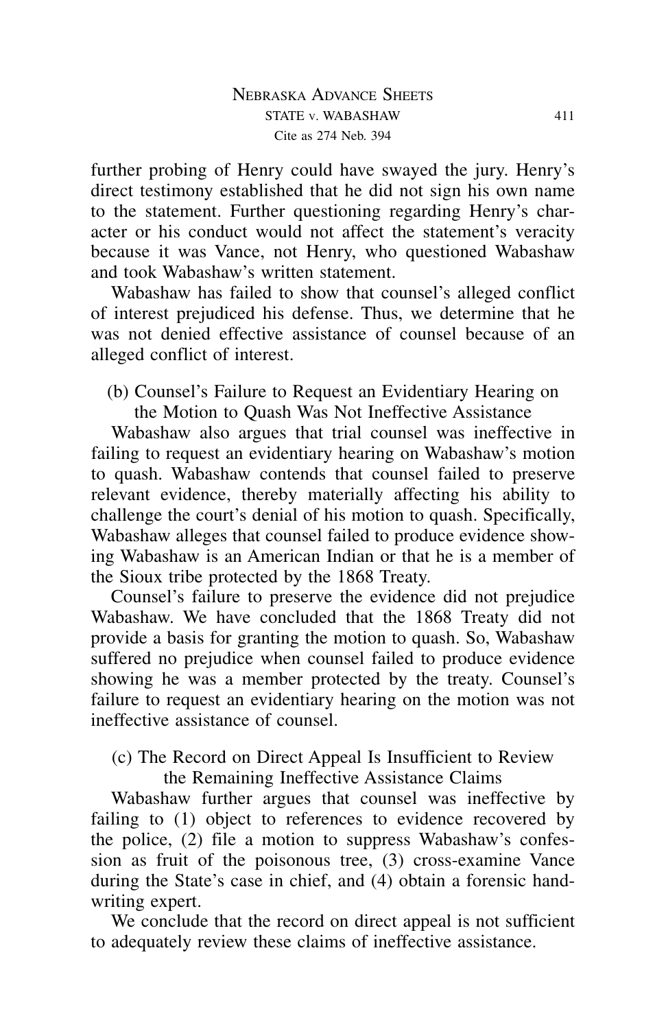further probing of Henry could have swayed the jury. Henry's direct testimony established that he did not sign his own name to the statement. Further questioning regarding Henry's character or his conduct would not affect the statement's veracity because it was Vance, not Henry, who questioned Wabashaw and took Wabashaw's written statement.

Wabashaw has failed to show that counsel's alleged conflict of interest prejudiced his defense. Thus, we determine that he was not denied effective assistance of counsel because of an alleged conflict of interest.

(b) Counsel's Failure to Request an Evidentiary Hearing on the Motion to Quash Was Not Ineffective Assistance

Wabashaw also argues that trial counsel was ineffective in failing to request an evidentiary hearing on Wabashaw's motion to quash. Wabashaw contends that counsel failed to preserve relevant evidence, thereby materially affecting his ability to challenge the court's denial of his motion to quash. Specifically, Wabashaw alleges that counsel failed to produce evidence showing Wabashaw is an American Indian or that he is a member of the Sioux tribe protected by the 1868 Treaty.

Counsel's failure to preserve the evidence did not prejudice Wabashaw. We have concluded that the 1868 Treaty did not provide a basis for granting the motion to quash. So, Wabashaw suffered no prejudice when counsel failed to produce evidence showing he was a member protected by the treaty. Counsel's failure to request an evidentiary hearing on the motion was not ineffective assistance of counsel.

(c) The Record on Direct Appeal Is Insufficient to Review

the Remaining Ineffective Assistance Claims

Wabashaw further argues that counsel was ineffective by failing to (1) object to references to evidence recovered by the police, (2) file a motion to suppress Wabashaw's confession as fruit of the poisonous tree, (3) cross-examine Vance during the State's case in chief, and (4) obtain a forensic handwriting expert.

We conclude that the record on direct appeal is not sufficient to adequately review these claims of ineffective assistance.